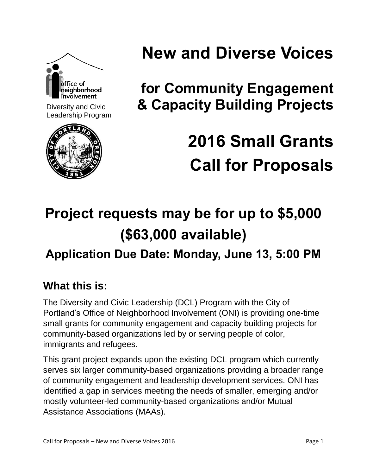

Diversity and Civic Leadership Program



# **New and Diverse Voices**

**for Community Engagement & Capacity Building Projects**

# **2016 Small Grants Call for Proposals**

# **Project requests may be for up to \$5,000 (\$63,000 available)**

# **Application Due Date: Monday, June 13, 5:00 PM**

# **What this is:**

The Diversity and Civic Leadership (DCL) Program with the City of Portland's Office of Neighborhood Involvement (ONI) is providing one-time small grants for community engagement and capacity building projects for community-based organizations led by or serving people of color, immigrants and refugees.

This grant project expands upon the existing DCL program which currently serves six larger community-based organizations providing a broader range of community engagement and leadership development services. ONI has identified a gap in services meeting the needs of smaller, emerging and/or mostly volunteer-led community-based organizations and/or Mutual Assistance Associations (MAAs).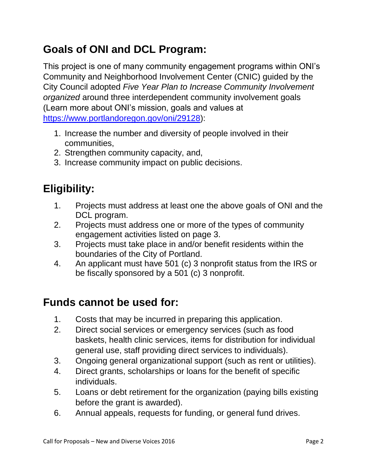# **Goals of ONI and DCL Program:**

This project is one of many community engagement programs within ONI's Community and Neighborhood Involvement Center (CNIC) guided by the City Council adopted *Five Year Plan to Increase Community Involvement organized* around three interdependent community involvement goals (Learn more about ONI's mission, goals and values at [https://www.portlandoregon.gov/oni/29128\)](https://www.portlandoregon.gov/oni/29128):

- 1. Increase the number and diversity of people involved in their communities,
- 2. Strengthen community capacity, and,
- 3. Increase community impact on public decisions.

# **Eligibility:**

- 1. Projects must address at least one the above goals of ONI and the DCL program.
- 2. Projects must address one or more of the types of community engagement activities listed on page 3.
- 3. Projects must take place in and/or benefit residents within the boundaries of the City of Portland.
- 4. An applicant must have 501 (c) 3 nonprofit status from the IRS or be fiscally sponsored by a 501 (c) 3 nonprofit.

### **Funds cannot be used for:**

- 1. Costs that may be incurred in preparing this application.
- 2. Direct social services or emergency services (such as food baskets, health clinic services, items for distribution for individual general use, staff providing direct services to individuals).
- 3. Ongoing general organizational support (such as rent or utilities).
- 4. Direct grants, scholarships or loans for the benefit of specific individuals.
- 5. Loans or debt retirement for the organization (paying bills existing before the grant is awarded).
- 6. Annual appeals, requests for funding, or general fund drives.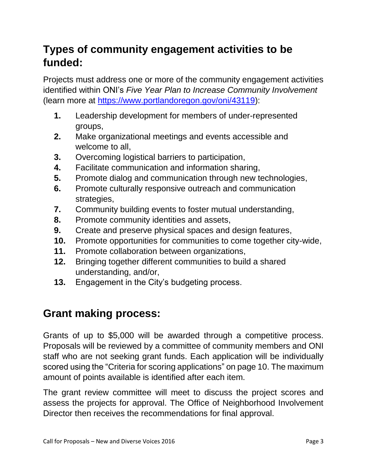# **Types of community engagement activities to be funded:**

Projects must address one or more of the community engagement activities identified within ONI's *Five Year Plan to Increase Community Involvement* (learn more at [https://www.portlandoregon.gov/oni/43119\)](https://www.portlandoregon.gov/oni/43119):

- **1.** Leadership development for members of under-represented groups,
- **2.** Make organizational meetings and events accessible and welcome to all,
- **3.** Overcoming logistical barriers to participation,
- **4.** Facilitate communication and information sharing,
- **5.** Promote dialog and communication through new technologies,
- **6.** Promote culturally responsive outreach and communication strategies,
- **7.** Community building events to foster mutual understanding,
- **8.** Promote community identities and assets,
- **9.** Create and preserve physical spaces and design features,
- **10.** Promote opportunities for communities to come together city-wide,
- **11.** Promote collaboration between organizations,
- **12.** Bringing together different communities to build a shared understanding, and/or,
- **13.** Engagement in the City's budgeting process.

# **Grant making process:**

Grants of up to \$5,000 will be awarded through a competitive process. Proposals will be reviewed by a committee of community members and ONI staff who are not seeking grant funds. Each application will be individually scored using the "Criteria for scoring applications" on page 10. The maximum amount of points available is identified after each item.

The grant review committee will meet to discuss the project scores and assess the projects for approval. The Office of Neighborhood Involvement Director then receives the recommendations for final approval.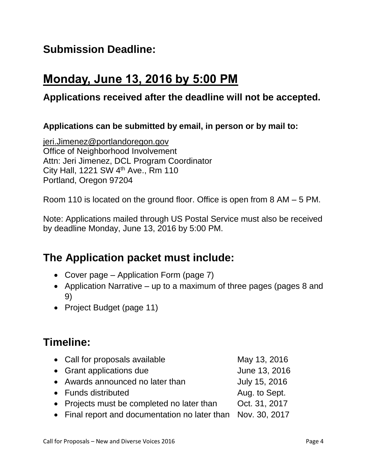### **Submission Deadline:**

# **Monday, June 13, 2016 by 5:00 PM**

#### **Applications received after the deadline will not be accepted.**

#### **Applications can be submitted by email, in person or by mail to:**

[jeri.Jimenez@portlandoregon.gov](mailto:jeri.Jimenez@portlandoregon.gov) Office of Neighborhood Involvement Attn: Jeri Jimenez, DCL Program Coordinator City Hall, 1221 SW 4<sup>th</sup> Ave., Rm 110 Portland, Oregon 97204

Room 110 is located on the ground floor. Office is open from 8 AM – 5 PM.

Note: Applications mailed through US Postal Service must also be received by deadline Monday, June 13, 2016 by 5:00 PM.

### **The Application packet must include:**

- Cover page Application Form (page 7)
- Application Narrative up to a maximum of three pages (pages 8 and 9)
- Project Budget (page 11)

### **Timeline:**

| • Call for proposals available                               | May 13, 2016  |
|--------------------------------------------------------------|---------------|
| • Grant applications due                                     | June 13, 2016 |
| • Awards announced no later than                             | July 15, 2016 |
| • Funds distributed                                          | Aug. to Sept. |
| • Projects must be completed no later than                   | Oct. 31, 2017 |
| • Final report and documentation no later than Nov. 30, 2017 |               |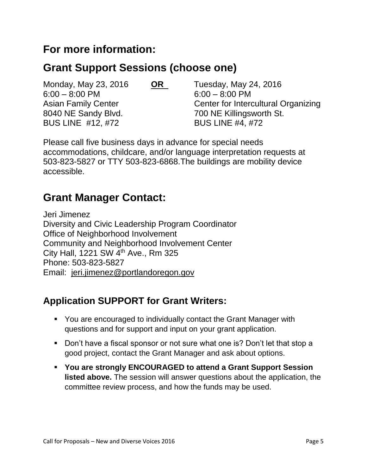#### **For more information:**

### **Grant Support Sessions (choose one)**

Monday, May 23, 2016 **OR** Tuesday, May 24, 2016 6:00 – 8:00 PM 6:00 – 8:00 PM 8040 NE Sandy Blvd. 700 NE Killingsworth St. BUS LINE #12, #72 BUS LINE #4, #72

Asian Family Center **Center** Center for Intercultural Organizing

Please call five business days in advance for special needs accommodations, childcare, and/or language interpretation requests at 503-823-5827 or TTY 503-823-6868.The buildings are mobility device accessible.

#### **Grant Manager Contact:**

Jeri Jimenez Diversity and Civic Leadership Program Coordinator Office of Neighborhood Involvement Community and Neighborhood Involvement Center City Hall, 1221 SW 4<sup>th</sup> Ave., Rm 325 Phone: 503-823-5827 Email: [jeri.jimenez@portlandoregon.gov](mailto:jeri.jimenez@portlandoregon.gov)

#### **Application SUPPORT for Grant Writers:**

- You are encouraged to individually contact the Grant Manager with questions and for support and input on your grant application.
- Don't have a fiscal sponsor or not sure what one is? Don't let that stop a good project, contact the Grant Manager and ask about options.
- **You are strongly ENCOURAGED to attend a Grant Support Session listed above.** The session will answer questions about the application, the committee review process, and how the funds may be used.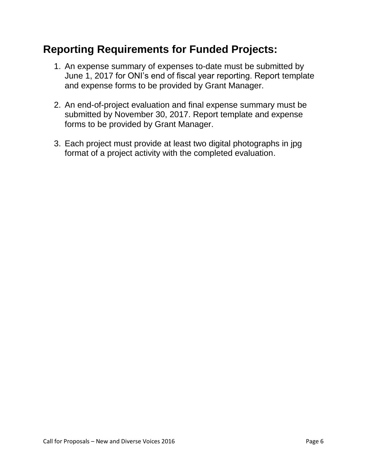### **Reporting Requirements for Funded Projects:**

- 1. An expense summary of expenses to-date must be submitted by June 1, 2017 for ONI's end of fiscal year reporting. Report template and expense forms to be provided by Grant Manager.
- 2. An end-of-project evaluation and final expense summary must be submitted by November 30, 2017. Report template and expense forms to be provided by Grant Manager.
- 3. Each project must provide at least two digital photographs in jpg format of a project activity with the completed evaluation.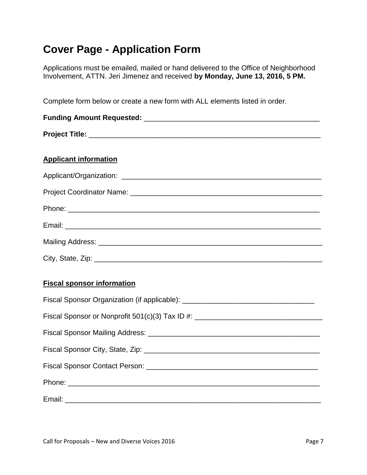# **Cover Page - Application Form**

Applications must be emailed, mailed or hand delivered to the Office of Neighborhood Involvement, ATTN. Jeri Jimenez and received **by Monday, June 13, 2016, 5 PM.**

Complete form below or create a new form with ALL elements listed in order.

| <b>Applicant information</b> |  |  |  |  |
|------------------------------|--|--|--|--|
|                              |  |  |  |  |
|                              |  |  |  |  |
|                              |  |  |  |  |
|                              |  |  |  |  |
|                              |  |  |  |  |
|                              |  |  |  |  |

#### **Fiscal sponsor information**

| Fiscal Sponsor Organization (if applicable): ___________________________________ |  |  |  |  |  |
|----------------------------------------------------------------------------------|--|--|--|--|--|
| Fiscal Sponsor or Nonprofit 501(c)(3) Tax ID #: ________________________________ |  |  |  |  |  |
|                                                                                  |  |  |  |  |  |
|                                                                                  |  |  |  |  |  |
|                                                                                  |  |  |  |  |  |
|                                                                                  |  |  |  |  |  |
|                                                                                  |  |  |  |  |  |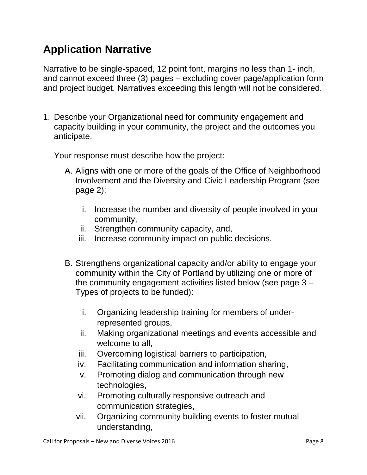# **Application Narrative**

Narrative to be single-spaced, 12 point font, margins no less than 1- inch, and cannot exceed three (3) pages – excluding cover page/application form and project budget. Narratives exceeding this length will not be considered.

1. Describe your Organizational need for community engagement and capacity building in your community, the project and the outcomes you anticipate.

Your response must describe how the project:

- A. Aligns with one or more of the goals of the Office of Neighborhood Involvement and the Diversity and Civic Leadership Program (see page 2):
	- i. Increase the number and diversity of people involved in your community,
	- ii. Strengthen community capacity, and,
	- iii. Increase community impact on public decisions.
- B. Strengthens organizational capacity and/or ability to engage your community within the City of Portland by utilizing one or more of the community engagement activities listed below (see page 3 – Types of projects to be funded):
	- i. Organizing leadership training for members of underrepresented groups,
	- ii. Making organizational meetings and events accessible and welcome to all,
	- iii. Overcoming logistical barriers to participation,
	- iv. Facilitating communication and information sharing,
	- v. Promoting dialog and communication through new technologies,
	- vi. Promoting culturally responsive outreach and communication strategies,
	- vii. Organizing community building events to foster mutual understanding,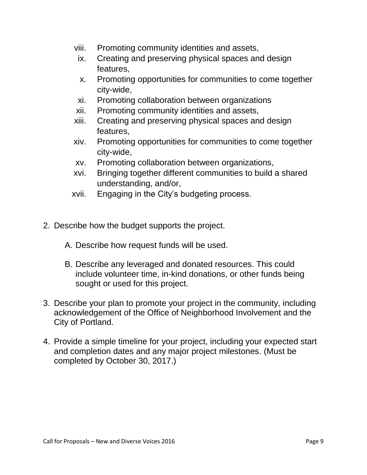- viii. Promoting community identities and assets,
- ix. Creating and preserving physical spaces and design features,
- x. Promoting opportunities for communities to come together city-wide,
- xi. Promoting collaboration between organizations
- xii. Promoting community identities and assets,
- xiii. Creating and preserving physical spaces and design features,
- xiv. Promoting opportunities for communities to come together city-wide,
- xv. Promoting collaboration between organizations,
- xvi. Bringing together different communities to build a shared understanding, and/or,
- xvii. Engaging in the City's budgeting process.
- 2. Describe how the budget supports the project.
	- A. Describe how request funds will be used.
	- B. Describe any leveraged and donated resources. This could include volunteer time, in-kind donations, or other funds being sought or used for this project.
- 3. Describe your plan to promote your project in the community, including acknowledgement of the Office of Neighborhood Involvement and the City of Portland.
- 4. Provide a simple timeline for your project, including your expected start and completion dates and any major project milestones. (Must be completed by October 30, 2017.)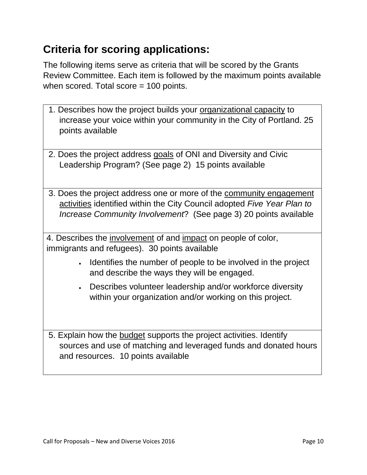# **Criteria for scoring applications:**

The following items serve as criteria that will be scored by the Grants Review Committee. Each item is followed by the maximum points available when scored. Total score = 100 points.

- 1. Describes how the project builds your organizational capacity to increase your voice within your community in the City of Portland. 25 points available
- 2. Does the project address goals of ONI and Diversity and Civic Leadership Program? (See page 2) 15 points available
- 3. Does the project address one or more of the community engagement activities identified within the City Council adopted *Five Year Plan to Increase Community Involvement*? (See page 3) 20 points available

4. Describes the involvement of and impact on people of color, immigrants and refugees). 30 points available

- I dentifies the number of people to be involved in the project and describe the ways they will be engaged.
- Describes volunteer leadership and/or workforce diversity within your organization and/or working on this project.

5. Explain how the budget supports the project activities. Identify sources and use of matching and leveraged funds and donated hours and resources. 10 points available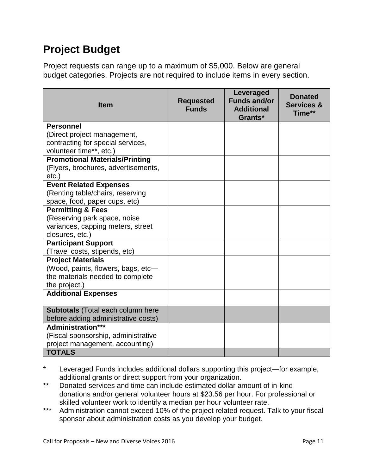# **Project Budget**

Project requests can range up to a maximum of \$5,000. Below are general budget categories. Projects are not required to include items in every section.

| <b>Item</b>                                          | <b>Requested</b><br><b>Funds</b> | Leveraged<br><b>Funds and/or</b><br><b>Additional</b><br>Grants* | <b>Donated</b><br><b>Services &amp;</b><br>Time** |
|------------------------------------------------------|----------------------------------|------------------------------------------------------------------|---------------------------------------------------|
| <b>Personnel</b>                                     |                                  |                                                                  |                                                   |
| (Direct project management,                          |                                  |                                                                  |                                                   |
| contracting for special services,                    |                                  |                                                                  |                                                   |
| volunteer time**, etc.)                              |                                  |                                                                  |                                                   |
| <b>Promotional Materials/Printing</b>                |                                  |                                                                  |                                                   |
| (Flyers, brochures, advertisements,                  |                                  |                                                                  |                                                   |
| $etc.$ )                                             |                                  |                                                                  |                                                   |
| <b>Event Related Expenses</b>                        |                                  |                                                                  |                                                   |
| (Renting table/chairs, reserving                     |                                  |                                                                  |                                                   |
| space, food, paper cups, etc)                        |                                  |                                                                  |                                                   |
| <b>Permitting &amp; Fees</b>                         |                                  |                                                                  |                                                   |
| (Reserving park space, noise                         |                                  |                                                                  |                                                   |
| variances, capping meters, street<br>closures, etc.) |                                  |                                                                  |                                                   |
| <b>Participant Support</b>                           |                                  |                                                                  |                                                   |
| (Travel costs, stipends, etc)                        |                                  |                                                                  |                                                   |
| <b>Project Materials</b>                             |                                  |                                                                  |                                                   |
| (Wood, paints, flowers, bags, etc-                   |                                  |                                                                  |                                                   |
| the materials needed to complete                     |                                  |                                                                  |                                                   |
| the project.)                                        |                                  |                                                                  |                                                   |
| <b>Additional Expenses</b>                           |                                  |                                                                  |                                                   |
|                                                      |                                  |                                                                  |                                                   |
| <b>Subtotals</b> (Total each column here             |                                  |                                                                  |                                                   |
| before adding administrative costs)                  |                                  |                                                                  |                                                   |
| Administration***                                    |                                  |                                                                  |                                                   |
| (Fiscal sponsorship, administrative                  |                                  |                                                                  |                                                   |
| project management, accounting)                      |                                  |                                                                  |                                                   |
| <b>TOTALS</b>                                        |                                  |                                                                  |                                                   |

Leveraged Funds includes additional dollars supporting this project—for example, additional grants or direct support from your organization.

- \*\* Donated services and time can include estimated dollar amount of in-kind donations and/or general volunteer hours at \$23.56 per hour. For professional or skilled volunteer work to identify a median per hour volunteer rate.
- \*\*\* Administration cannot exceed 10% of the project related request. Talk to your fiscal sponsor about administration costs as you develop your budget.